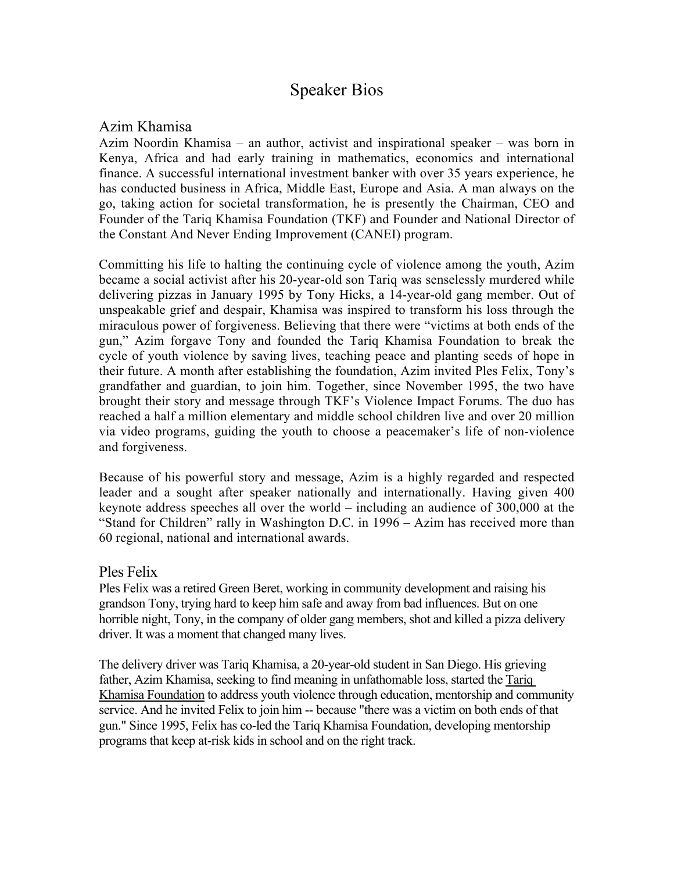# Speaker Bios

# Azim Khamisa

Azim Noordin Khamisa – an author, activist and inspirational speaker – was born in Kenya, Africa and had early training in mathematics, economics and international finance. A successful international investment banker with over 35 years experience, he has conducted business in Africa, Middle East, Europe and Asia. A man always on the go, taking action for societal transformation, he is presently the Chairman, CEO and Founder of the Tariq Khamisa Foundation (TKF) and Founder and National Director of the Constant And Never Ending Improvement (CANEI) program.

Committing his life to halting the continuing cycle of violence among the youth, Azim became a social activist after his 20-year-old son Tariq was senselessly murdered while delivering pizzas in January 1995 by Tony Hicks, a 14-year-old gang member. Out of unspeakable grief and despair, Khamisa was inspired to transform his loss through the miraculous power of forgiveness. Believing that there were "victims at both ends of the gun," Azim forgave Tony and founded the Tariq Khamisa Foundation to break the cycle of youth violence by saving lives, teaching peace and planting seeds of hope in their future. A month after establishing the foundation, Azim invited Ples Felix, Tony's grandfather and guardian, to join him. Together, since November 1995, the two have brought their story and message through TKF's Violence Impact Forums. The duo has reached a half a million elementary and middle school children live and over 20 million via video programs, guiding the youth to choose a peacemaker's life of non-violence and forgiveness.

Because of his powerful story and message, Azim is a highly regarded and respected leader and a sought after speaker nationally and internationally. Having given 400 keynote address speeches all over the world – including an audience of 300,000 at the "Stand for Children" rally in Washington D.C. in 1996 – Azim has received more than 60 regional, national and international awards.

# Ples Felix

Ples Felix was a retired Green Beret, working in community development and raising his grandson Tony, trying hard to keep him safe and away from bad influences. But on one horrible night, Tony, in the company of older gang members, shot and killed a pizza delivery driver. It was a moment that changed many lives.

The delivery driver was Tariq Khamisa, a 20-year-old student in San Diego. His grieving father, Azim Khamisa, seeking to find meaning in unfathomable loss, started the Tariq Khamisa Foundation to address youth violence through education, mentorship and community service. And he invited Felix to join him -- because "there was a victim on both ends of that gun." Since 1995, Felix has co-led the Tariq Khamisa Foundation, developing mentorship programs that keep at-risk kids in school and on the right track.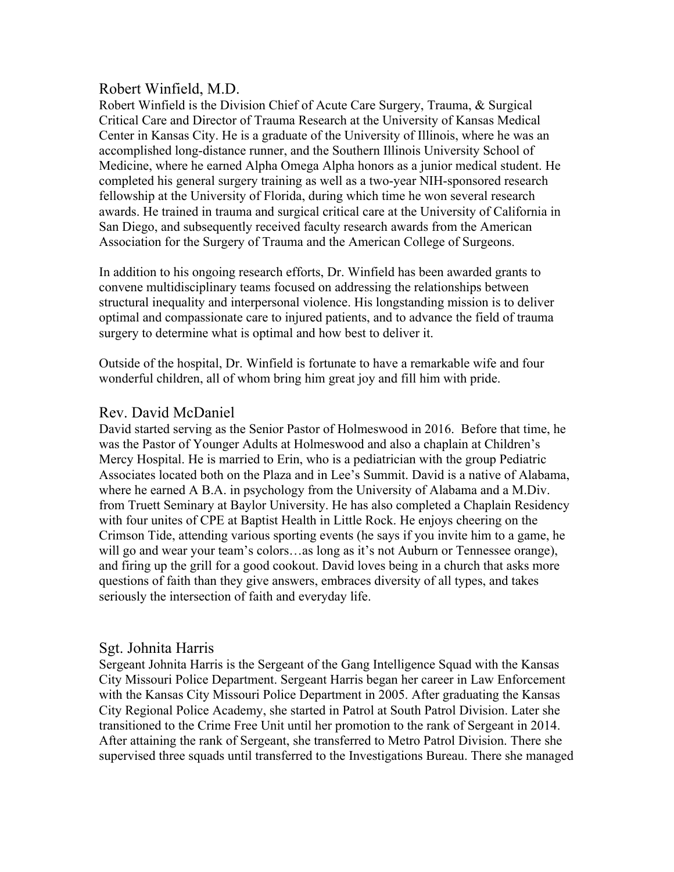# Robert Winfield, M.D.

Robert Winfield is the Division Chief of Acute Care Surgery, Trauma, & Surgical Critical Care and Director of Trauma Research at the University of Kansas Medical Center in Kansas City. He is a graduate of the University of Illinois, where he was an accomplished long-distance runner, and the Southern Illinois University School of Medicine, where he earned Alpha Omega Alpha honors as a junior medical student. He completed his general surgery training as well as a two-year NIH-sponsored research fellowship at the University of Florida, during which time he won several research awards. He trained in trauma and surgical critical care at the University of California in San Diego, and subsequently received faculty research awards from the American Association for the Surgery of Trauma and the American College of Surgeons.

In addition to his ongoing research efforts, Dr. Winfield has been awarded grants to convene multidisciplinary teams focused on addressing the relationships between structural inequality and interpersonal violence. His longstanding mission is to deliver optimal and compassionate care to injured patients, and to advance the field of trauma surgery to determine what is optimal and how best to deliver it.

Outside of the hospital, Dr. Winfield is fortunate to have a remarkable wife and four wonderful children, all of whom bring him great joy and fill him with pride.

# Rev. David McDaniel

David started serving as the Senior Pastor of Holmeswood in 2016. Before that time, he was the Pastor of Younger Adults at Holmeswood and also a chaplain at Children's Mercy Hospital. He is married to Erin, who is a pediatrician with the group Pediatric Associates located both on the Plaza and in Lee's Summit. David is a native of Alabama, where he earned A B.A. in psychology from the University of Alabama and a M.Div. from Truett Seminary at Baylor University. He has also completed a Chaplain Residency with four unites of CPE at Baptist Health in Little Rock. He enjoys cheering on the Crimson Tide, attending various sporting events (he says if you invite him to a game, he will go and wear your team's colors...as long as it's not Auburn or Tennessee orange), and firing up the grill for a good cookout. David loves being in a church that asks more questions of faith than they give answers, embraces diversity of all types, and takes seriously the intersection of faith and everyday life.

# Sgt. Johnita Harris

Sergeant Johnita Harris is the Sergeant of the Gang Intelligence Squad with the Kansas City Missouri Police Department. Sergeant Harris began her career in Law Enforcement with the Kansas City Missouri Police Department in 2005. After graduating the Kansas City Regional Police Academy, she started in Patrol at South Patrol Division. Later she transitioned to the Crime Free Unit until her promotion to the rank of Sergeant in 2014. After attaining the rank of Sergeant, she transferred to Metro Patrol Division. There she supervised three squads until transferred to the Investigations Bureau. There she managed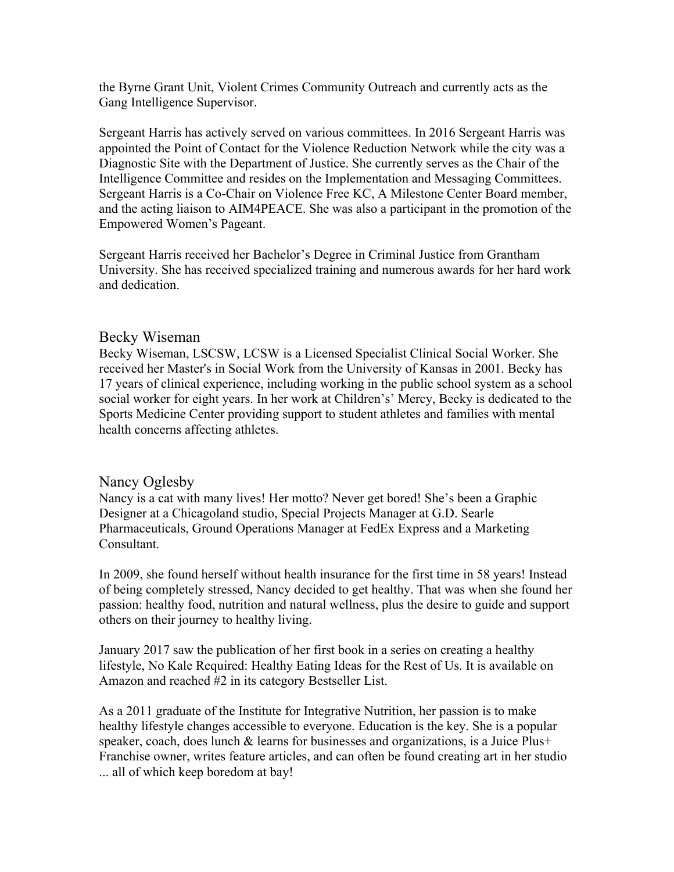the Byrne Grant Unit, Violent Crimes Community Outreach and currently acts as the Gang Intelligence Supervisor.

Sergeant Harris has actively served on various committees. In 2016 Sergeant Harris was appointed the Point of Contact for the Violence Reduction Network while the city was a Diagnostic Site with the Department of Justice. She currently serves as the Chair of the Intelligence Committee and resides on the Implementation and Messaging Committees. Sergeant Harris is a Co-Chair on Violence Free KC, A Milestone Center Board member, and the acting liaison to AIM4PEACE. She was also a participant in the promotion of the Empowered Women's Pageant.

Sergeant Harris received her Bachelor's Degree in Criminal Justice from Grantham University. She has received specialized training and numerous awards for her hard work and dedication.

#### Becky Wiseman

Becky Wiseman, LSCSW, LCSW is a Licensed Specialist Clinical Social Worker. She received her Master's in Social Work from the University of Kansas in 2001. Becky has 17 years of clinical experience, including working in the public school system as a school social worker for eight years. In her work at Children's' Mercy, Becky is dedicated to the Sports Medicine Center providing support to student athletes and families with mental health concerns affecting athletes.

# Nancy Oglesby

Nancy is a cat with many lives! Her motto? Never get bored! She's been a Graphic Designer at a Chicagoland studio, Special Projects Manager at G.D. Searle Pharmaceuticals, Ground Operations Manager at FedEx Express and a Marketing Consultant.

In 2009, she found herself without health insurance for the first time in 58 years! Instead of being completely stressed, Nancy decided to get healthy. That was when she found her passion: healthy food, nutrition and natural wellness, plus the desire to guide and support others on their journey to healthy living.

January 2017 saw the publication of her first book in a series on creating a healthy lifestyle, No Kale Required: Healthy Eating Ideas for the Rest of Us. It is available on Amazon and reached #2 in its category Bestseller List.

As a 2011 graduate of the Institute for Integrative Nutrition, her passion is to make healthy lifestyle changes accessible to everyone. Education is the key. She is a popular speaker, coach, does lunch & learns for businesses and organizations, is a Juice Plus+ Franchise owner, writes feature articles, and can often be found creating art in her studio ... all of which keep boredom at bay!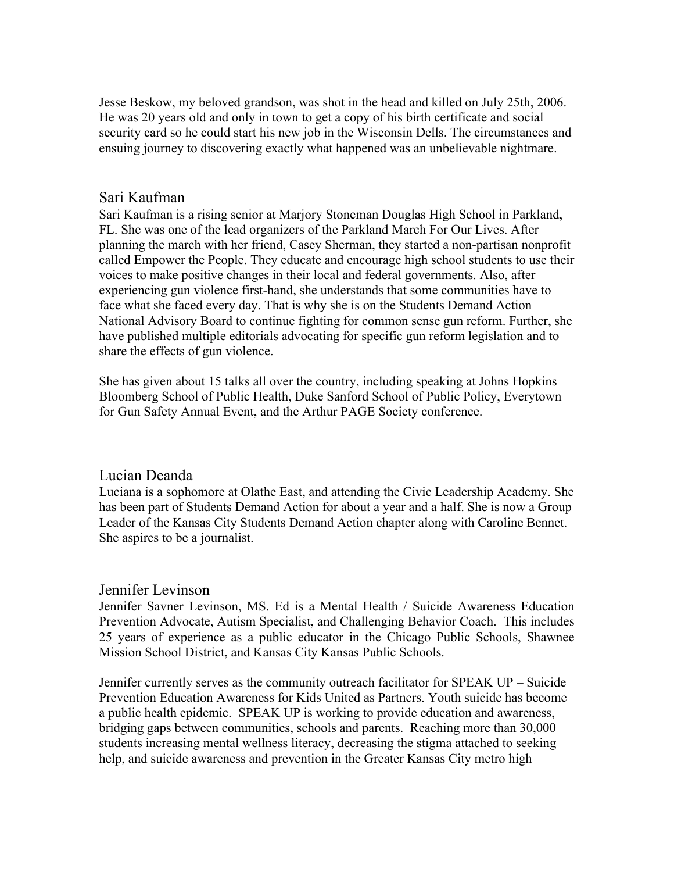Jesse Beskow, my beloved grandson, was shot in the head and killed on July 25th, 2006. He was 20 years old and only in town to get a copy of his birth certificate and social security card so he could start his new job in the Wisconsin Dells. The circumstances and ensuing journey to discovering exactly what happened was an unbelievable nightmare.

# Sari Kaufman

Sari Kaufman is a rising senior at Marjory Stoneman Douglas High School in Parkland, FL. She was one of the lead organizers of the Parkland March For Our Lives. After planning the march with her friend, Casey Sherman, they started a non-partisan nonprofit called Empower the People. They educate and encourage high school students to use their voices to make positive changes in their local and federal governments. Also, after experiencing gun violence first-hand, she understands that some communities have to face what she faced every day. That is why she is on the Students Demand Action National Advisory Board to continue fighting for common sense gun reform. Further, she have published multiple editorials advocating for specific gun reform legislation and to share the effects of gun violence.

She has given about 15 talks all over the country, including speaking at Johns Hopkins Bloomberg School of Public Health, Duke Sanford School of Public Policy, Everytown for Gun Safety Annual Event, and the Arthur PAGE Society conference.

# Lucian Deanda

Luciana is a sophomore at Olathe East, and attending the Civic Leadership Academy. She has been part of Students Demand Action for about a year and a half. She is now a Group Leader of the Kansas City Students Demand Action chapter along with Caroline Bennet. She aspires to be a journalist.

# Jennifer Levinson

Jennifer Savner Levinson, MS. Ed is a Mental Health / Suicide Awareness Education Prevention Advocate, Autism Specialist, and Challenging Behavior Coach. This includes 25 years of experience as a public educator in the Chicago Public Schools, Shawnee Mission School District, and Kansas City Kansas Public Schools.

Jennifer currently serves as the community outreach facilitator for SPEAK UP – Suicide Prevention Education Awareness for Kids United as Partners. Youth suicide has become a public health epidemic. SPEAK UP is working to provide education and awareness, bridging gaps between communities, schools and parents. Reaching more than 30,000 students increasing mental wellness literacy, decreasing the stigma attached to seeking help, and suicide awareness and prevention in the Greater Kansas City metro high